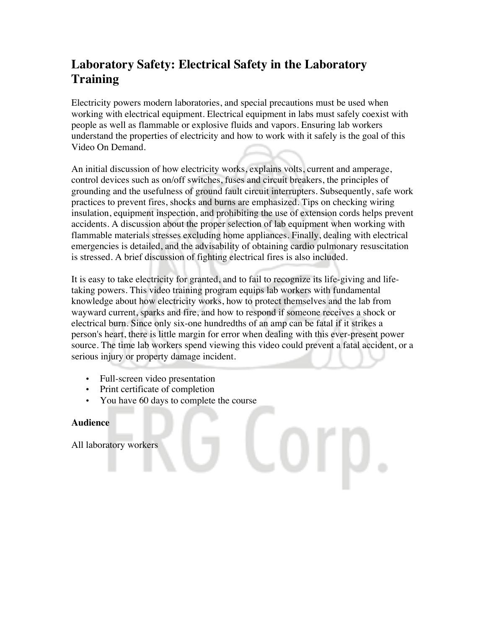## **Laboratory Safety: Electrical Safety in the Laboratory Training**

Electricity powers modern laboratories, and special precautions must be used when working with electrical equipment. Electrical equipment in labs must safely coexist with people as well as flammable or explosive fluids and vapors. Ensuring lab workers understand the properties of electricity and how to work with it safely is the goal of this Video On Demand.

An initial discussion of how electricity works, explains volts, current and amperage, control devices such as on/off switches, fuses and circuit breakers, the principles of grounding and the usefulness of ground fault circuit interrupters. Subsequently, safe work practices to prevent fires, shocks and burns are emphasized. Tips on checking wiring insulation, equipment inspection, and prohibiting the use of extension cords helps prevent accidents. A discussion about the proper selection of lab equipment when working with flammable materials stresses excluding home appliances. Finally, dealing with electrical emergencies is detailed, and the advisability of obtaining cardio pulmonary resuscitation is stressed. A brief discussion of fighting electrical fires is also included.

It is easy to take electricity for granted, and to fail to recognize its life-giving and lifetaking powers. This video training program equips lab workers with fundamental knowledge about how electricity works, how to protect themselves and the lab from wayward current, sparks and fire, and how to respond if someone receives a shock or electrical burn. Since only six-one hundredths of an amp can be fatal if it strikes a person's heart, there is little margin for error when dealing with this ever-present power source. The time lab workers spend viewing this video could prevent a fatal accident, or a serious injury or property damage incident.

- Full-screen video presentation
- Print certificate of completion
- You have 60 days to complete the course

## **Audience**

All laboratory workers